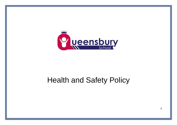

# Health and Safety Policy

 $\Omega$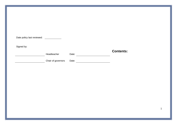| Date policy last reviewed: _____________ |                    |       |                  |             |
|------------------------------------------|--------------------|-------|------------------|-------------|
| Signed by:                               | Headteacher        | Date: | <b>Contents:</b> |             |
|                                          | Chair of governors |       |                  |             |
|                                          |                    |       |                  |             |
|                                          |                    |       |                  |             |
|                                          |                    |       |                  |             |
|                                          |                    |       |                  |             |
|                                          |                    |       |                  | $\mathbf 1$ |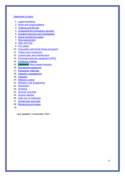#### [Statement of intent](#page-3-0)

- 1. [Legal framework](#page-4-0)
- 2. [Roles and responsibilities](#page-4-1)
- 3. [Training and first aid](#page-7-0)
- 4. [Contacting the emergency services](#page-8-0)
- 5. [Accident reporting and investigation](#page-8-1)
- 6. [Active monitoring system](#page-10-0)
- 7. [Risk assessment](#page-11-0)
- 8. [Slips and trips](#page-11-1)
- 9. [Fire safety](#page-12-0)
- 10. [Evacuation and bomb threat procedure](#page-12-1)
- 11. [Visitors and contractors](#page-12-2)
- 12. [Construction and maintenance](#page-12-3)
- 13. [Personal protective equipment \(PPE\)](#page-14-0)
- 14. [Employee clothing](#page-15-0)
- 15. **[Updated]** [Work-related hazards](#page-16-0)
- 16. [Maintaining equipment](#page-17-0)
- 17. [Hazardous materials](#page-17-1)
- 18. [Asbestos management](#page-18-0)
- 19. [Cleaning](#page-18-1)
- 20. [Infection control](#page-19-0)
- 21. [Allergens and anaphylaxis](#page-19-1)
- 22. [Medication](#page-20-0)
- 23. [Smoking](#page-20-1)
- 24. [Security and theft](#page-20-2)
- 25. [Severe weather](#page-20-3)
- 26. [Safe use of minibuses](#page-20-4)
- 27. [School trips and visits](#page-21-0)
- 28. [Monitoring and review](#page-21-1)
- a)

Last updated: 3 December 2021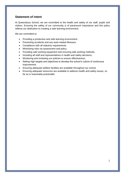# <span id="page-3-0"></span>**Statement of intent**

At Queensbury School, we are committed to the health and safety of our staff, pupils and visitors. Ensuring the safety of our community is of paramount importance and this policy reflects our dedication to creating a safe learning environment.

We are committed to:

- Providing a productive and safe learning environment.
- Preventing accidents and any work-related illnesses.
- Compliance with all statutory requirements.
- Minimising risks via assessment and policy.
- Providing safe working equipment and ensuring safe working methods.
- Including all staff and representatives in health and safety decisions.
- Monitoring and reviewing our policies to ensure effectiveness.
- Setting high targets and objectives to develop the school's culture of continuous improvement.
- Ensuring adequate welfare facilities are available throughout our school.
- Ensuring adequate resources are available to address health and safety issues, so far as is reasonably practicable.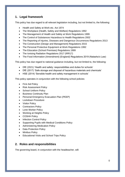# <span id="page-4-0"></span>**1. Legal framework**

This policy has due regard to all relevant legislation including, but not limited to, the following:

- Health and Safety at Work etc. Act 1974
- The Workplace (Health, Safety and Welfare) Regulations 1992
- The Management of Health and Safety at Work Regulations 1999
- The Control of Substances Hazardous to Health Regulations 2002
- The Reporting of Injuries, Diseases and Dangerous Occurrences Regulations 2013
- The Construction (Design and Management) Regulations 2015
- The Personal Protective Equipment at Work Regulations 1992
- The Education (School Premises) Regulations 1999
- The Ionising Radiation Regulations 2017 (IRR17)
- The Food Information (Amendment) (England) Regulations 2019 (Natasha's Law)

This policy has due regard to national guidance including, but not limited to, the following:

- DfE (2021) 'Health and safety: responsibilities and duties for schools'
- DfE (2017) 'Safe storage and disposal of hazardous materials and chemicals'
- HSE (2014) 'Sensible health and safety management in schools'

This policy operates in conjunction with the following school policies:

- **First Aid Policy**
- Risk Assessment Policy
- School Uniform Policy
- Business Continuity Plan
- Personal Emergency Evacuation Plan (PEEP)
- Lockdown Procedure
- Visitor Policy
- Contractors Policy
- Lone Worker Policy
- Working at Heights Policy
- COSHH Policy
- Infection Control Policy
- Supporting Pupils with Medical Conditions Policy
- Administering Medication Policy
- Data Protection Policy
- Minibus Policy
- Educational Visits and School Trips Policy

# <span id="page-4-1"></span>**2. Roles and responsibilities**

The governing board, in conjunction with the headteacher, will: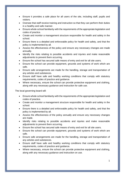- Ensure it provides a safe place for all users of the site, including staff, pupils and visitors.
- Oversee that staff receive training and instruction so that they can perform their duties in a healthy and safe manner.
- Ensure whole-school familiarity with the requirements of the appropriate legislation and codes of practice.
- Create and monitor a management structure responsible for health and safety in the school.
- Ensure there is a detailed and enforceable policy for health and safety, and that the policy is implemented by all.
- Assess the effectiveness of the policy and ensure any necessary changes are made annually.
- Identify the risks relating to possible accidents and injuries and make reasonable adjustments to prevent them occurring.
- Ensure the school has secured safe means of entry and exit for all site users.
- Ensure the school can provide equipment, grounds and systems of work which are safe.
- Ensure safe arrangements are made for the handling, storage and transportation of any articles and substances.
- Ensure staff have safe and healthy working conditions that comply with statutory requirements, codes of practice and guidance.
- Where necessary, ensure the school can provide protective equipment and clothing, along with any necessary guidance and instruction for safe use.

The local governing board will:

- Ensure whole-school familiarity with the requirements of the appropriate legislation and codes of practice.
- Create and monitor a management structure responsible for health and safety in the school.
- Ensure there is a detailed and enforceable policy for health and safety, and that the policy is implemented by all.
- Assess the effectiveness of the policy annually and ensure any necessary changes are made.
- Identify risks relating to possible accidents and injuries and make reasonable adjustments to prevent them occurring.
- Ensure the school has secured safe means of entry and exit for all site users.
- Ensure the school can provide equipment, grounds and systems of work which are safe.
- Ensure safe arrangements are made for the handling, storage and transportation of any articles and substances.
- Ensure staff have safe and healthy working conditions that comply with statutory requirements, codes of practice and guidance.
- Where necessary, ensure the school can provide protective equipment and clothing, along with any necessary guidance and instruction on use.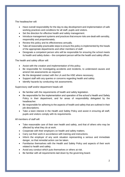The headteacher will:

- Have overall responsibility for the day-to-day development and implementation of safe working practices and conditions for all staff, pupils and visitors.
- Set the direction for effective health and safety management.
- Introduce management systems and practices that ensure risks are dealt with sensibly, responsibly and proportionately.
- Review this policy and its effectiveness annually.
- Take all reasonably practicable steps to ensure this policy is implemented by the heads of the appropriate departments and other members of staff.
- Designate a competent person who will be responsible for ensuring the school meets its health and safety duties – the competent person will be the health and safety officer.

The health and safety officer will:

- Assist with the creation and implementation of this policy.
- Be responsible for investigating accidents and incidents, to understand causes and amend risk assessments as required.
- Be the designated contact with the LA and the HSE where necessary.
- Support staff with any queries or concerns regarding health and safety.
- Identify hazards by conducting risk assessments.

Supervisory staff and/or department heads will:

- Be familiar with the requirements of health and safety legislation.
- Be responsible for the implementation and operation of the school's Health and Safety Policy in their department, and for areas of responsibility delegated by the headteacher.
- Be responsible for adhering to the aspects of health and safety that are outlined in their job descriptions.
- Take a keen interest in the Health and Safety Policy and assist in ensuring all staff, pupils and visitors comply with its requirements.

All members of staff will:

- Take reasonable care of their own health and safety, and that of others who may be affected by what they do at work.
- Cooperate with their employers on health and safety matters.
- Carry out their work in accordance with training and instructions.
- Inform the employer of any work situation representing a serious and immediate danger, so that remedial action can be taken.
- Familiarise themselves with the Health and Safety Policy and aspects of their work related to health and safety.
- Avoid any conduct which puts themselves or others at risk.
- Be familiar with all requirements laid down by the governing board.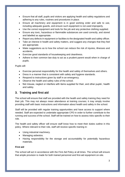- Ensure that all staff, pupils and visitors are applying health and safety regulations and adhering to any rules, routines and procedures in place.
- Ensure all machinery and equipment is in good working order and safe to use, including adequate guards, and ensure such equipment is not used improperly.
- Use the correct equipment and tools for the job and any protective clothing supplied.
- Ensure any toxic, hazardous or flammable substances are used correctly, and stored and labelled as appropriate.
- Report any defects in equipment or facilities to the designated health and safety officer.
- Take an interest in health and safety matters, and suggest any changes that they feel are appropriate.
- Make suggestions as to how the school can reduce the risk of injuries, illnesses and accidents.
- Exercise good standards of housekeeping and cleanliness.
- Adhere to their common law duty to act as a prudent parent would when in charge of pupils.

Pupils will:

- Exercise personal responsibility for the health and safety of themselves and others.
- Dress in a manner that is consistent with safety and hygiene standards.
- Respond to instructions given by staff in an emergency.
- Observe the health and safety rules of the school.
- Not misuse, neglect or interfere with items supplied for their, and other pupils', health and safety.

# <span id="page-7-0"></span>**3. Training and first aid**

The school will ensure that staff are provided with the health and safety training they need for their job. This may not always mean attendance at training courses; it may simply involve providing staff with basic instructions and information about health and safety in the school.

Staff will be provided with regular training opportunities and have access to support where needed. Staff are expected to undertake appropriate CPD in order to further contribute to the running and success of the school. Staff will be trained on how to assess risks specific to their role.

The health and safety officer will ensure staff know how to meet their duties outline in this policy. Where relevant to their role, staff will receive specific training in:

- Using industrial machinery.
- Managing asbestos.
- Having responsibility for the storage and accountability for potentially hazardous materials.

#### **First aid**

The school will act in accordance with the First Aid Policy at all times. The school will ensure that ample provision is made for both trained personnel and first-aid equipment on-site.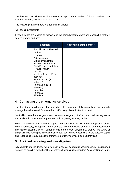The headteacher will ensure that there is an appropriate number of first-aid trained staff members working within in each classroom.

The following staff members are trained first-aiders:

All Teaching Assistants

First aid boxes are located as follows, and the named staff members are responsible for their secure storage and use:

| <b>Location</b>                                                                                                                                                                                                                                                                                                                    | <b>Responsible staff member</b> |
|------------------------------------------------------------------------------------------------------------------------------------------------------------------------------------------------------------------------------------------------------------------------------------------------------------------------------------|---------------------------------|
| First Aid room; First Aid<br>cabinet<br>DT room<br>Science room<br>Sixth Form kitchen<br>Sixth Form third floor<br>Sixth Form second floor<br>(Travel Trainer)<br><b>Textiles</b><br>Mentors & room 18 (in<br>between)<br>Room 19 & 20 (in<br>between)<br>Room 14 & 15 (in<br>between)<br>Reception<br>Room 12<br><b>PE</b> office |                                 |
|                                                                                                                                                                                                                                                                                                                                    |                                 |

# <span id="page-8-0"></span>**4. Contacting the emergency services**

The headteacher will certify that procedures for ensuring safety precautions are properly managed are discussed, formulated and effectively disseminated to all staff.

Staff will contact the emergency services in an emergency. Staff will alert their colleagues to the incident, if it is safe and appropriate to do so, using two-way radios.

Where an ambulance is called for a pupil, the Form Teacher will contact the pupil's parent. Where necessary, all pupils will be evacuated from the building and taken to the designated emergency assembly point – currently, this is the school playground. Staff will be aware of any pupils who have specific evacuation needs. Staff will be responsible for the safety of pupils and responding to any questions from the emergency services, as best they can.

# <span id="page-8-1"></span>**5. Accident reporting and investigation**

All accidents and incidents, including near-misses or dangerous occurrences, will be reported as soon as possible to the health and safety officer using the standard Accident Report Form.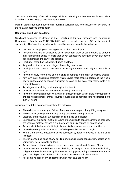The health and safety officer will be responsible for informing the headteacher if the accident is fatal or a 'major injury', as outlined by the HSE.

More in-depth information concerning reporting accidents and near-misses can be found in the following sections of this policy.

### **Reporting significant accidents**

Significant accidents, as defined in the Reporting of Injuries, Diseases and Dangerous Occurrences Regulations (RIDDOR) 2013, will be reported to the HSE at the earliest opportunity. The 'specified injuries' which must be reported include the following:

- Accidents to employees causing either death or major injury
- Accidents resulting in employees being away from work or being unable to perform their normal work duties for more than seven consecutive days (this seven-day period does not include the day of the accident)
- Fractures, other than to fingers, thumbs and toes
- Amputation of an arm, hand, finger, thumb, leg, foot or toe
- Any injury likely to lead to permanent loss of sight or reduction in sight in one or both eyes
- Any crush injury to the head or torso, causing damage to the brain or internal organs
- Any burn injury (including scalding) which covers more than 10 percent of the whole body's surface area or causes significant damage to the eyes, respiratory system or other vital organs
- Any degree of scalping requiring hospital treatment
- Any loss of consciousness caused by head injury or asphyxia
- Any other injury arising from working in an enclosed space which leads to hypothermia or heat-induced illness, or that requires resuscitation or admittance to hospital for more than 24 hours

Additional reportable occurrences include the following:

- The collapse, overturning or failure of any load-bearing part of any lifting equipment
- The explosion, collapse or bursting of any closed vessel or pipe work
- Electrical short circuit or overload resulting in a fire or explosion
- Unintentional explosion, misfire or failure of demolition to cause the intended collapse, projection of material beyond a site boundary, or injury caused by an explosion
- Any accidental release of a biological agent likely to cause severe human illness
- Any collapse or partial collapse of scaffolding over five metres in height
- When a dangerous substance being conveyed by road is involved in a fire or is released
- The unintended collapse of any building or structure under construction, alteration or demolition, including walls or floors
- Any explosion or fire resulting in the suspension of normal work for over 24 hours
- Any sudden, uncontrolled release in a building of: 200kg or more of flammable liquid, 10kg or more of flammable liquid above its boiling point, 10kg or more of flammable gas, or 500kg or more of these substances if the release is in the open air
- Accidental release of any substances which may damage health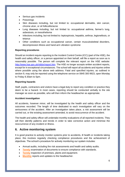- Serious gas incidents
- Poisonings
- Skin diseases including, but not limited to: occupational dermatitis, skin cancer, chrome ulcer, or oil folliculitis/acne
- Lung diseases including, but not limited to: occupational asthma, farmer's lung, asbestosis, or mesothelioma
- Infections including, but not limited to: leptospirosis, hepatitis, anthrax, legionellosis, or tetanus
- Other conditions such as occupational cancer, certain musculoskeletal disorders, decompression illness and hand-arm vibration syndrome

#### **Reporting procedures**

Should an incident require reporting to the Incident Control Centre (ICC) (part of the HSE), the health and safety officer, or a person appointed on their behalf, will file a report as soon as is reasonably possible. The person will complete the relevant report on the HSE website: [http://www.hse.gov.uk/riddor/report.htm.](http://www.hse.gov.uk/riddor/report.htm) The HSE no longer accepts written accident reports, except for in exceptional circumstances. The school will report all accidents and injuries online where possible using the above web address. Fatal and specified injuries, as outlined in section 9, may only be reported using the telephone service on 0845 300 9923, open Monday to Friday 8.30am to 5pm.

#### **Reporting hazards**

Staff, pupils, contractors and visitors have a legal duty to report any condition or practice they deem to be a hazard. In most cases, reporting should be conducted verbally to the site manager as soon as possible, who will then inform the headteacher as appropriate.

#### **Accident investigation**

All accidents, however minor, will be investigated by the health and safety officer and the outcomes recorded. The length of time dedicated to each investigation will vary on the seriousness of the accident. After an investigation takes place, a risk assessment will be carried out, or the existing assessment amended, to avoid reoccurrence of the accident.

The health and safety officer will undertake monthly evaluations of all reported incidents. They will then identify patterns and trends in order to take corrective action and minimise the reoccurrence of any incident or illness.

# <span id="page-10-0"></span>**6. Active monitoring system**

It is good practice to actively monitor systems prior to accidents, ill health or incidents taking place; this involves regularly checking compliance procedures and the achievement of objectives. The school's procedure for actively monitoring our system includes:

- Annual audits, including fire risk assessments and health and safety audits.
- **Termly** examination of documents to ensure compliance with standards.
- **Termly** inspection of premises, plants and equipment.
- **Monthly** reports and updates to the headteacher.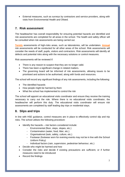• External measures, such as surveys by contractors and service providers, along with visits from Environmental Health and Ofsted.

# <span id="page-11-0"></span>**7. Risk assessment**

The headteacher has overall responsibility for ensuring potential hazards are identified and risk assessments are completed for all areas in the school. The health and safety officer will be consulted when risk assessments are being carried out.

**Termly** assessments of high-risks areas, such as laboratories, will be undertaken. **Annual** risk assessments will be conducted for all other areas of the school. Risk assessments will consider the needs of staff, pupils, visitors and contractors. Risk assessments will identify all defects and potential risks along with the necessary solutions or control measures.

Risk assessments will be reviewed if:

- There is any reason to suspect that they are no longer valid.
- There has been a significant change in related matters.
- The governing board will be informed of risk assessments, allowing issues to be prioritised and actions to be authorised, along with funds and resources.

The school will record any significant findings of any risk assessments, including the following:

- The identified hazards
- How people might be harmed by them
- What the school has implemented to control the risk

The school will appoint an educational visits coordinator and ensure they receive the training necessary to carry out the role. Where there is no educational visits coordinator, the headteacher will perform this duty. The educational visits coordinator will ensure risk assessments are completed by staff leading day trips or residential stays.

# <span id="page-11-1"></span>**8. Slips and trips**

In line with HSE guidance, control measures are in place to effectively control slip and trip risks. The school utilises the following procedure:

- Identify the hazards risk factors considered include:
	- Environmental (floor, steps, slopes, etc.)
	- Contamination (water, food, litter, etc.)
	- Organisational (task, safety, culture, etc.)
	- Footwear (footwear worn for evening events may not be in line with the School Uniform Policy)
	- Individual factors (rain, supervision, pedestrian behaviour, etc.)
- Decide who might be harmed and how
- Consider the risks and decide if existing precautions are sufficient, or if further measures need to be introduced
- Record the findings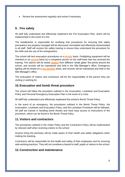• Review the assessment regularly and revise if necessary

# <span id="page-12-0"></span>**9. Fire safety**

All staff fully understand and effectively implement the Fire Evacuation Plan, which will be implemented in the event of a fire.

The headteacher is responsible for certifying that procedures for ensuring that safety precautions are properly managed will be discussed, formulated and effectively disseminated to all staff. Staff will receive fire safety training to ensure they understand the procedure for fire drills and the use of fire extinguishers.

The school will test evacuation procedures on a **termly** basis. Firefighting equipment will be checked on an **annual** basis by a competent person on the staff team that has received the training. Fire alarms will be tested **weekly** from different 'break glass' fire points around the school, and records will be maintained and held in the Site Manager's office. Emergency lighting will be tested on a **six-monthly** basis, and records will be maintained and held in the Site Manager's office.

The evacuation of visitors and contractors will be the responsibility of the person they are visiting or working for.

# <span id="page-12-1"></span>**10.Evacuation and bomb threat procedure**

The school will follow the procedure outlined in the Invacuation, Lockdown and Evacuation Policy and Personal Emergency Evacuation Plan in the event of a crisis.

All staff fully understand and effectively implement the school's Bomb Threat Policy.

In the event of an emergency, the procedures outlined in the Bomb Threat Policy, the Invacuation, Lockdown and Evacuation Policy, and the Lockdown Procedure will be followed. All staff are trained in handling bomb threats and have easy access to instructions of the procedure, which can be found in the Bomb Threat Policy.

# <span id="page-12-2"></span>**11.Visitors and contractors**

The procedures outlined in the Visitor Policy and the Contractors Policy will be implemented by relevant staff when receiving visitors to the school.

Anyone hiring the premises will be made aware of their health and safety obligations when making the booking.

Contractors will be responsible for the health and safety of their employees and for ensuring safe working practices. They will not constitute a hazard to staff, pupils or visitors to the school.

# <span id="page-12-3"></span>**12.Construction and maintenance**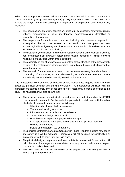When undertaking construction or maintenance work, the school will do so in accordance with The Construction (Design and Management) (CDM) Regulations 2015. Construction work means the carrying out of any building, civil engineering or engineering construction work, including:

- The construction, alteration, conversion, fitting out, commission, renovation, repair, upkeep, redecoration, or other maintenance, decommissioning, demolition or dismantling of a structure;
- The preparation for an intended structure, including site clearance, exploration, investigation (but not site survey) and excavation (but not pre-construction archaeological investigations), and the clearance or preparation of the site or structure for use or occupation at its conclusion;
- The installation, commission, maintenance, repair or removal of mechanical, electrical, gas, compressed air, hydraulic, telecommunications, computer or similar services which are normally fixed within or to a structure;
- The assembly on site of prefabricated elements to form a structure or the disassembly on site of the prefabricated elements which, immediately before such disassembly, formed a structure;
- The removal of a structure, or of any product or waste resulting from demolition or dismantling of a structure, or from disassembly of prefabricated elements which immediately before such disassembly formed such a structure.

The headteacher will ensure that all construction and maintenance projects have a formally appointed principal designer and principal contractor. The headteacher will liaise with the principal contractor to identify if the scope of the project means that it should be notified to the HSE. The headteacher will also ensure that:

- The principal designer and principal contractor are provided with a 'client brief/CDM pre-construction information' at the earliest opportunity, to contain relevant information which should, as a minimum, include the following:
	- What the school wants built or maintained
	- The site and existing structures
	- Information about hazards, such as asbestos
	- Timescales and budget for the build
	- How the school expects the project to be managed
	- CDM appointments of the principal contractor and/or principal designer
	- Welfare arrangements
	- Details of the nearest A&E department
- The principal contractor draws up a Construction Phase Plan that explains how health and safety risks will be managed – permission will not be given for construction or maintenance work to begin until this is in place.
- The principal designer prepares a health and safety file containing information that will help the school manage risks associated with any future maintenance, repair, construction or demolition work.
- The roles, functions and responsibilities of the project team are clearly defined in writing, e.g. in the project plan.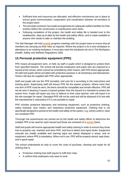- Sufficient time and resources are allocated, and effective mechanisms are in place to ensure good communication, cooperation and coordination between all members of the project team.
- The principal contractor has made arrangements for adequate welfare facilities for their workers before the construction or maintenance work starts.
- Following completion of the project, the health and safety file is handed over to the headteacher, kept up-to-date by the health and safety officer, and is made available to anyone who needs to alter or maintain the building.

The Site Manager will hold **weekly** progress meetings with the project team to ensure that all members are carrying out their roles as required. Where the project is for a new workplace or alterations to an existing workplace, it must also meet the standards set out in The Workplace (Health, Safety and Welfare) Regulations 1992.

# <span id="page-14-0"></span>**13.Personal protective equipment (PPE)**

PPE means all equipment worn, or held, by staff or pupils which is designed to protect them from specified hazards. The school will provide employees and pupils who are exposed to a hazard at the school, which cannot be controlled by other means, with PPE where appropriate. All staff and pupils will be provided with protective eyewear in all workshops and laboratories. Visitors will also be supplied with PPE when appropriate.

Staff and pupils will use the PPE provided, and care for it according to the instructions and training given. Supervising staff will ensure PPE fits the wearer properly. Where more than one item of PPE must be worn, the items should be compatible and remain effective. PPE will not be worn if wearing it causes a hazard greater than the hazard it is intended to protect the wearer from. Pupils will report any loss or defects to their class teacher, who will report it to the site manager for repair. Damaged PPE will not be used and will be disposed of in line with the manufacturer's instructions if it is not possible to repair.

PPE includes protective laboratory and workshop equipment, such as protective clothing, safety footwear, face masks, and respiratory protective equipment. Clothing that is not specifically designed to preserve the health and safety of the wearer, e.g. school uniform, does not constitute PPE.

Thorough risk assessments are carried out by the health and safety officer to determine the suitable PPE to be used for each hazard and these are reviewed on a **termly** basis.

Staff and pupils will receive appropriate health and safety training in order to ensure they know how to properly use, maintain and store PPE, and how to detect and report faults. Equipment manuals are readily available and warning signs are clearly displayed in areas, and on equipment, where PPE is mandatory. When not in use, PPE will be properly stored, kept clean, and in good repair.

The school understands its duty to cover the costs of purchase, cleaning and repair for all clothing that is:

- Protective clothing that staff require to fulfil their roles.
- A uniform that employees only wear to work.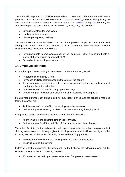The SBM will keep a record of all expenses related to PPE and uniform for HR and finance purposes. In accordance with HM Revenue and Customs (HMRC), the school will pay any tax and national insurance on uniforms and PPE that are not [exempt.](https://www.gov.uk/employer-reporting-expenses-benefits/dispensations) Using a [P11D](https://www.gov.uk/government/publications/paye-end-of-year-expenses-and-benefits-online-form) form, the school will report the cost of the following to HMRC, unless they are exempt:

- Buying the clothes for employees
- Lending clothes to employees
- Cleaning or repairing clothing

The school will not report the above to HMRC if it is provided as part of a salary sacrifice arrangement. If the school follows either of the below procedures, we will not report uniform costs as detailed in section 17 to HMRC:

- Paying a flat rate to employees as part of their earnings either a benchmark rate or a special (bespoke) rate approved by HMRC
- Paying back the employee's actual costs

# <span id="page-15-0"></span>**14.Employee clothing**

If the school purchases clothing for employees, or lends it to them, we will:

- Report the costs on P11D form.
- Pay Class 1A National Insurance on the value of the benefit.
- If employees purchase clothing that is necessary to complete their role and the school reimburses them, the school will:
- Add the value of the benefit to employees' earnings.
- Deduct and pay PAYE tax and Class 1 National Insurance through payroll.

If employees purchase non-durable clothing, e.g. rubber gloves, and the school reimburses them, the school will:

- Add the value of the benefit to the employees' other earnings.
- Deduct and pay PAYE tax (not Class 1 National Insurance) through payroll.

If employees pay to have clothing cleaned or repaired, the school will:

- Add the value of the benefit to employees' earnings.
- Deduct and pay PAYE tax and Class 1 National Insurance through payroll.

The value of clothing for tax and reporting will depend on whether the school has given or lent clothing to employees. If clothing is given to employees, the school will use the higher of the following to work out the value of clothing for tax and reporting purposes:

- The second-hand value of the clothing when it is given to employees
- The initial cost of the clothing

If clothing is lent to employees, the school will use the higher of the following to work out the value of clothing for tax and reporting purposes:

• 20 percent of the clothing's market value when first provided to employees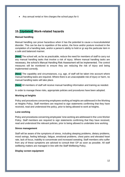• Any annual rental or hire charges the school pays for it

# <span id="page-16-0"></span>**15.[Updated] Work-related hazards**

#### **Manual handling**

Manual handling can prove hazardous when it has the potential to cause a musculoskeletal disorder. This can be due to repetition of the action, the force and/or posture involved in the completion of a handling task, and/or a person's ability to hold or gr asp the particular item in a safe and balanced manner.

**[New]** The school will, as far as practicable, reduce the need for members of staff to carry out any manual handling tasks that involve a risk of injury. Where manual handling tasks are necessary, the school's Manual Handling Risk Assessment will be implemented. The control measures will be monitored to ensure they are reducing the risk of injury and being implemented correctly.

**[New]** The capability and circumstances, e.g. age, of staff will be taken into account where manual handling tasks are required. Where there is an unacceptable risk of injury or harm, no manual handling tasks will take place.

**[New]** All members of staff will receive manual handling information and training as needed.

In order to manage these risks, appropriate policies and procedures have been adopted.

#### **Working at heights**

Policy and procedures concerning employees working at heights are addressed in the Working at Heights Policy. Staff members are required to sign statements confirming that they have received, read and understood the policy, prior to being allowed to work at heights.

#### **Lone working**

Policy and procedures concerning employees' lone working are addressed in the Lone Worker Policy. Staff members are required to sign statements confirming that they have received, read and understood the relevant policies, prior to being allowed to undertake lone working.

#### **Stress management**

Staff will be aware of the symptoms of stress, including sleeping problems, dietary problems, mood swings, feeling lethargic, fatigue, emotional problems, chest pains and elevated heart rate, lack of focus, inability to concentrate and increased sweating. Staff members who suffer from any of these symptoms are advised to consult their GP as soon as possible. All staff wellbeing matters are managed in line with the Staff Wellbeing Policy.

#### **Display screen equipment**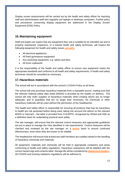Display screen assessments will be carried out by the health and safety officer for teaching staff and administrative staff who regularly use laptops or desktops computers. Further policy and procedures concerning display equipment are addressed in the Display Screen Equipment (DSE) Policy.

# <span id="page-17-0"></span>**16.Maintaining equipment**

Staff and pupils can expect that any equipment they use is suitable for its intended use and is properly maintained. Inspectors, or a trained health and safety technician, will inspect the following equipment for health and safety issues **annually**:

- All electrical appliances
- All fixed gymnasium equipment
- Any workshop equipment, e.g. lathes and kilns
- All fume cupboards

It is the responsibility of the health and safety officer to ensure new equipment meets the appropriate standards and conforms to all health and safety requirements. A health and safety technician should be consulted as necessary.

# <span id="page-17-1"></span>**17.Hazardous materials**

The school will act in accordance with the school's COSHH Policy at all times.

The school will only purchase hazardous materials from a reputable source, making sure that the relevant material safety data sheet (MSDS) is provided by the retailer on delivery. The school will only order supplies of hazardous materials when existing stocks are no longer adequate, and in quantities that are no larger than necessary. No chemicals or other hazardous materials will be used without the permission of the headteacher.

The health and safety officer is responsible for ensuring all products that may be hazardous to health are risk assessed before being used, taking into account the advice on the relevant MSDS or Hazcard – the latter is provided from CLEAPPS, recognised by Ofsted and HSE as a definitive basis for undertaking practical work safely.

The site manager, will ensure that the relevant control measures and appropriate guidelines are put in place to manage the risks identified in risk assessments. Control measures will be checked and reviewed by the site manager on a **termly** basis to ensure continued effectiveness, even when they are known to be reliable.

The headteacher will ensure that at least two staff members are suitably trained in the handling of hazardous chemicals and materials.

All equipment, materials and chemicals will be held in appropriate containers and areas conforming to health and safety regulations. Hazardous substances will be labelled with the correct hazard sign and contents label. Storage life will be considered by **department leaders**. All COSHH and ionising radiations regulations will be adhered to.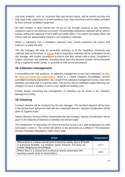Low-toxic products, such as corrective fluid and aerosol paints, will be stored securely and only used under supervision in a well-ventilated area. Dust and fumes will be safely controlled by local exhaust ventilation equipment.

No staff member or pupil should ever be put at risk through exposure to any hazardous substance used in our practical curriculum. No potentially hazardous materials will be used in lessons without the approval of the health and safety officer. The health and safety officer will ensure staff are appropriately trained to use hazardous materials.

Where a substance has a workplace exposure limit, control measures will ensure that exposure is below the limit.

The site manager will keep an up-to-date inventory of all the hazardous chemicals and materials held at the school. A **termly** audit of hazardous materials will be undertaken by the site manager with routine surveillance to ensure that they remain safe to store. Unwanted or surplus chemicals and materials, including those that have become unsafe, will be disposed of by a registered waste carrier, in accordance with school procedures.

# <span id="page-18-0"></span>**18.Asbestos management**

In accordance with HSE guidance, an asbestos management survey was undertaken on **date** by **name of surveying organisation**, which is a United Kingdom Accreditation Service accredited surveying organisation. As a result of the asbestos management survey, risks were identified and dealt with on a priority basis. This survey will be undertaken again following any changes of use to a location or prior to any significant building work.

Further details concerning the management of asbestos can be found in the Asbestos Management Policy.

# <span id="page-18-1"></span>**19.Cleaning**

Contract cleaners will be monitored by the site manager. The standard required will be clear in the service level agreement held with the contracted cleaners. Special consideration will be given to hygiene areas.

Waste collection services will be monitored by the site manager. Special consideration will be given to the disposal of laboratory materials and clinical waste.

The headteacher is responsible for ensuring that the school is at a safe temperature for staff and pupils to work in. The school will adhere to the provisions as outlined in The Education (School Premises) Regulations 1999, which state:

| <b>Areas</b>                                                                                                                                                                           | <b>Temperature</b> |
|----------------------------------------------------------------------------------------------------------------------------------------------------------------------------------------|--------------------|
| Where there is a below-normal level of physical activity due to ill health<br>or a physical disability, e.g. isolation rooms; however, this does not<br>include sleeping accommodation | $21^{\circ}$ C     |
| Where there is a normal level of physical activity associated with<br>teaching, private study or examinations                                                                          | 18°C               |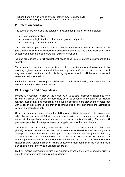Where there is a high level of physical activity, e.g. PE sports halls, where there is a high level of priysical activity, e.g. FE sports halls,<br>washrooms, sleeping accommodation and circulation spaces

# <span id="page-19-0"></span>**20.Infection control**

The school actively prevents the spread of infection through the following measures:

- Routine immunisation
- Maintaining high standards of personal hygiene and practice
- Maintaining a clean environment

The school keeps up-to-date with national and local immunisation scheduling and advice. All pupils' immunisation status is checked at school entry and at the time of any vaccination. The school encourages parents to have their children immunised.

All staff are subject to a full occupational health check before starting employment at the school.

The school will ensure that arrangements are in place to minimise any health risks, e.g. flu, by ensuring hygiene standards are maintained and pupils and staff are not permitted in school if they are unwell. Staff and pupils displaying signs of infection will be sent home and recommended to see a doctor.

Further information concerning our policies and procedures addressing infection control can be found in our Infection Control Policy.

# <span id="page-19-1"></span>**21.Allergens and anaphylaxis**

Parents are required to provide the school with up-to-date information relating to their children's allergies, as well as the necessary action to be taken in the event of an allergic reaction, such as any medication required. Staff are also required to provide the headteacher with a list of their allergies. Information regarding pupils' and staff members' allergies is collated and stored securely.

Under The Human Medicines (Amendment) Regulations 2017, the school is able to purchase adrenaline auto-injector (AAI) devices without a prescription, for emergency use on pupils who are at risk of anaphylaxis, but whose device is not available or is not working. The school will purchase spare AAIs from a pharmaceutical supplier, such as the local pharmacy.

The headteacher and catering team will ensure that all pre-packed foods for direct sale (PPDS) made on the school site meet the requirements of Natasha's Law, i.e. the product displays the name of the food and a full, up-to-date ingredients list with allergens emphasised, e.g. in bold, italics or a different colour. The catering team will also work with any external catering providers to ensure all requirements are met and that PPDS is labelled in line with Natasha's Law. Further information relating to how the school operates in line with Natasha's Law can be found in the Whole-School Food Policy.

Staff will receive appropriate training and support relevant to their level of responsibility, in order to assist pupils with managing their allergies.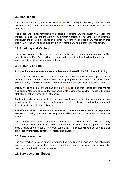# <span id="page-20-0"></span>**22.Medication**

The school's Supporting Pupils with Medical Conditions Policy will be read, understood and adhered to at all times. Staff will receive **annual** training in supporting pupils with medical conditions.

The school will obtain notification from parents regarding any medication that pupils are required to take. Only trained staff will administer medication. The school's Administering Medication Policy will be followed at all times. A record will be kept of any medication that pupils take – this will be checked prior to administering any non-prescription medication.

# <span id="page-20-1"></span>**23.Smoking and Vaping**

The school is a non-smoking premises and no smoking will be permitted on the grounds. The school's Smoke-Free Policy will be read and understood by all staff. All staff, pupils, visitors and contractors will be made aware of the policy.

# <span id="page-20-2"></span>**24.Security and theft**

Policy and procedures to reduce security risks are addressed in the School Security Policy.

CCTV systems will be used to monitor events and identify incidents taking place. CCTV systems may be used as evidence when investigating reports of incidents. CCTV footage is personal data, so will be handled in accordance with the school's Data Protection Policy.

Money will be held in a safe and banked on a **weekly** basis to ensure large amounts are not held on site. Money will be counted in an appropriate location, such as the Finance Office, and staff should not be placed at risk of robbery.

Staff and pupils are responsible for their personal belongings and the school accepts no responsibility for loss or damage. Thefts may be reported to the police and staff are expected to assist police with their investigation.

All staff are expected to take reasonable measures to ensure the security of school equipment being used. Missing or believed stolen equipment will be reported immediately to a senior staff member.

The school will install access control and security measures to ensure the safety of the school, e.g. security glazing on windows. The school will ban individuals from the premises if they pose a risk to any member of the school community. The school will consider any risks that are posed by their local context, e.g. recent arson attacks.

# <span id="page-20-3"></span>**25.Severe weather**

The headteacher, in liaison with the governing board, will make a decision on school closure due to severe weather on the grounds of health and safety. If a closure takes place, the governing board will be promptly informed.

# <span id="page-20-4"></span>**26.Safe use of minibuses**